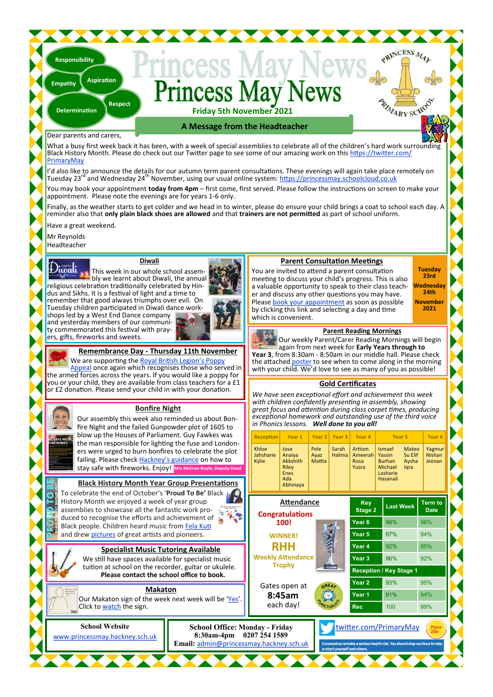#### **incess** lav **Friday 5th November 2021**

**A Message from the Headteacher**

#### Dear parents and carers,

**Determination**

**Responsibility**

**Empathy**

**Respect**

**Aspiration**

What a busy first week back it has been, with a week of special assemblies to celebrate all of the children's hard work surround Black History Month. Please do check out our Twitter page to see some of our amazing work on this [https://twitter.com/](https://twitter.com/PrimaryMay) [PrimaryMay](https://twitter.com/PrimaryMay)

I'd also like to announce the details for our autumn term parent consultations. These evenings will again take place remotely on Tuesday 23<sup>rd</sup> and Wednesday 24<sup>th</sup> November, using our usual online system: <https://princessmay.schoolcloud.co.uk>

You may book your appointment **today from 4pm** – first come, first served. Please follow the instructions on screen to make your appointment. Please note the evenings are for years 1-6 only.

Finally, as the weather starts to get colder and we head in to winter, please do ensure your child brings a coat to school each day. A reminder also that **only plain black shoes are allowed** and that **trainers are not permitted** as part of school uniform.

Have a great weekend.

Mr Reynolds

Headteacher

 $\mathbf{D}$ inali

#### **Diwali**

This week in our whole school assembly we learnt about Diwali, the annual religious celebration traditionally celebrated by Hindus and Sikhs. It is a festival of light and a time to remember that good always triumphs over evil. On Tuesday children participated in Diwali dance workshops led by a West End Dance company and yesterday members of our community commemorated this festival with prayers, gifts, fireworks and sweets.



**Remembrance Day - Thursday 11th November**

We are supporting the [Royal British Legion](https://www.britishlegion.org.uk/get-involved/remembrance/about-remembrance)'s Poppy [Appeal](https://www.britishlegion.org.uk/get-involved/remembrance/about-remembrance) once again which recognises those who served in the armed forces across the years. If you would like a poppy for you or your child, they are available from class teachers for a £1 or £2 donation. Please send your child in with your donation.

#### **Bonfire Night**

Our assembly this week also reminded us about Bonfire Night and the failed Gunpowder plot of 1605 to blow up the Houses of Parliament. Guy Fawkes was the man responsible for lighting the fuse and Londoners were urged to burn bonfires to celebrate the plot failing. Please check Hackney'[s guidance](https://www.princessmay.hackney.sch.uk/latest-news/bonfire-night) on how to stay safe with fireworks. Enjoy! **Mrs McCree-Boyle, Deputy Head**

#### **Black History Month Year Group Presentations**

To celebrate the end of October's '**Proud To Be'** Black History Month we enjoyed a week of year group assemblies to showcase all the fantastic work produced to recognise the efforts and achievement of  $\ddot{\bullet}$ Black people. Children heard music from [Fela Kuti](https://www.youtube.com/watch?v=IQBC5URoF0s) and drew [pictures](https://twitter.com/PrimaryMay) of great artists and pioneers.

**School Website** [www.princessmay.hackney.sch.uk](http://www.princessmay.hackney.sch.uk)

**Specialist Music Tutoring Available** We still have spaces available for specialist music tuition at school on the recorder, guitar or ukulele. **Please contact the school office to book.**

#### **Makaton**

Our Makaton sign of the week next week will be '[Yes](https://www.youtube.com/watch?v=8u6cDkylXU8)'. Click to [watch](https://www.youtube.com/watch?v=8u6cDkylXU8) the sign.

#### **Parent Consultation Meetings**

You are invited to attend a parent consultation meeting to discuss your child's progress. This is also a valuable opportunity to speak to their class teacher and discuss any other questions you may have. Please [book your appointment](https://princessmay.schoolcloud.co.uk) as soon as possible by clicking this link and selecting a day and time which is convenient.

**Tuesday 23rd Wednesday 24th November**

PRINCESS MAL

RIVARY SCHOOL

**2021**

#### **Parent Reading Mornings**

Our weekly Parent/Carer Reading Mornings will begin again from next week for **Early Years through to Year 3**, from 8:30am - 8:50am in our middle hall. Please check the attached [poster](https://www.princessmay.hackney.sch.uk/latest-news/parent-reading-morning) to see when to come along in the morning with your child. We'd love to see as many of you as possible!

#### **Gold Certificates**

*We have seen exceptional effort and achievement this week with children confidently presenting in assembly, showing great focus and attention during class carpet times, producing exceptional homework and outstanding use of the third voice in Phonics lessons. Well done to you all!*

| vacı piot ol 1000 to                                                                                                                                                                                                                                     |                                             |                                                    |                        |                   |                                    |                                                                      |                                   |                                   |
|----------------------------------------------------------------------------------------------------------------------------------------------------------------------------------------------------------------------------------------------------------|---------------------------------------------|----------------------------------------------------|------------------------|-------------------|------------------------------------|----------------------------------------------------------------------|-----------------------------------|-----------------------------------|
| nt. Guy Fawkes was                                                                                                                                                                                                                                       | <b>Reception</b><br>Year 1                  |                                                    | Year <sub>2</sub>      | Year <sub>3</sub> | Year 4                             | Year <sub>5</sub>                                                    |                                   | Year <sub>6</sub>                 |
| the fuse and London-<br>to celebrate the plot<br>zuidance on how to<br>Mrs McCree-Boyle, Deputy Head                                                                                                                                                     | Khloe<br>Jahsharie<br>Kylie                 | Jose<br>Anaiya<br>Akkshith<br>Riley<br>Enes<br>Ada | Pele<br>Ayaz<br>Mattia | Sarah<br>Halima   | Artiom<br>Ameerah<br>Rosa<br>Yusra | Ismael<br>Yassin<br><b>Burhan</b><br>Michael<br>Lasharie<br>Hasanali | Mateo<br>Su Elif<br>Aysha<br>lgra | Yagmur<br><b>Nishan</b><br>Jeevan |
| roup Presentations                                                                                                                                                                                                                                       |                                             | Abhinaya                                           |                        |                   |                                    |                                                                      |                                   |                                   |
| oud To Be' Black N<br>year group<br>tic work pro-<br>hievement of<br>om Fela Kuti                                                                                                                                                                        | <b>Attendance</b><br><b>Congratulations</b> |                                                    |                        | Key<br>Stage 2    | <b>Last Week</b>                   |                                                                      | <b>Term to</b><br><b>Date</b>     |                                   |
|                                                                                                                                                                                                                                                          | 100!                                        |                                                    |                        | Year <sub>6</sub> | 98%                                |                                                                      | 96%                               |                                   |
| pioneers.                                                                                                                                                                                                                                                | <b>WINNER!</b>                              |                                                    |                        | Year <sub>5</sub> | 97%                                | 94%                                                                  |                                   |                                   |
| ring Available                                                                                                                                                                                                                                           | <b>RHH</b>                                  |                                                    |                        | Year <sub>4</sub> | 92%                                |                                                                      | 95%                               |                                   |
| for specialist music                                                                                                                                                                                                                                     | <b>Weekly Attendance</b>                    |                                                    |                        | Year <sub>3</sub> | 96%                                |                                                                      | 92%                               |                                   |
| ler, guitar or ukulele.<br>ol office to book.                                                                                                                                                                                                            |                                             | <b>Trophy</b>                                      |                        |                   | <b>Reception / Key Stage 1</b>     |                                                                      |                                   |                                   |
|                                                                                                                                                                                                                                                          |                                             | Gates open at                                      | GRE4,                  |                   | Year <sub>2</sub>                  | 93%                                                                  |                                   | 95%                               |
| next week will be 'Yes'.                                                                                                                                                                                                                                 |                                             | 8:45am                                             |                        |                   | Year <sub>1</sub>                  | 91%                                                                  |                                   | 94%                               |
|                                                                                                                                                                                                                                                          |                                             | each day!                                          |                        |                   | <b>Rec</b>                         | 100                                                                  |                                   | 99%                               |
| <b>School Office: Monday - Friday</b><br>twitter.com/PrimaryMay<br>8:30am-4pm<br>0207 254 1589<br>Email: admin@princessmay.hackney.sch.uk<br>Coronavirus remains a serious health risk. You should stay cautious to help<br>protect vourself and others. |                                             |                                                    |                        |                   |                                    |                                                                      |                                   |                                   |